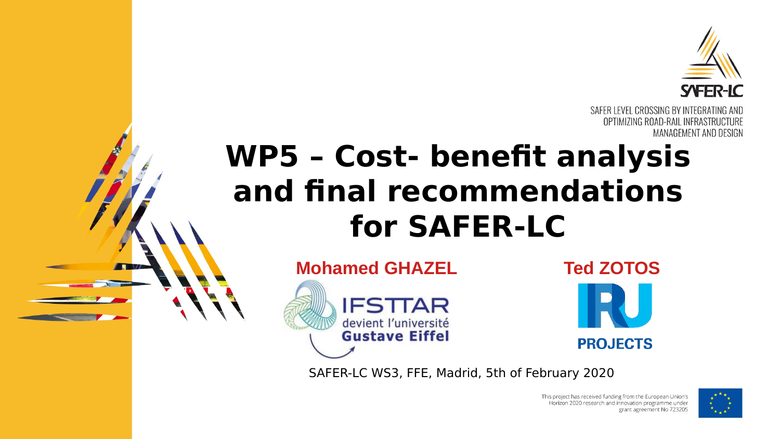

SAFER LEVEL CROSSING BY INTEGRATING AND OPTIMIZING ROAD-RAIL INFRASTRUCTURE MANAGEMENT AND DESIGN

## **WP5 – Cost- benefit analysis and final recommendations for SAFER-LC**





SAFER-LC WS3, FFE, Madrid, 5th of February 2020

This project has received funding from the European Union's Horizon 2020 research and innovation programme under grant agreement No 723205

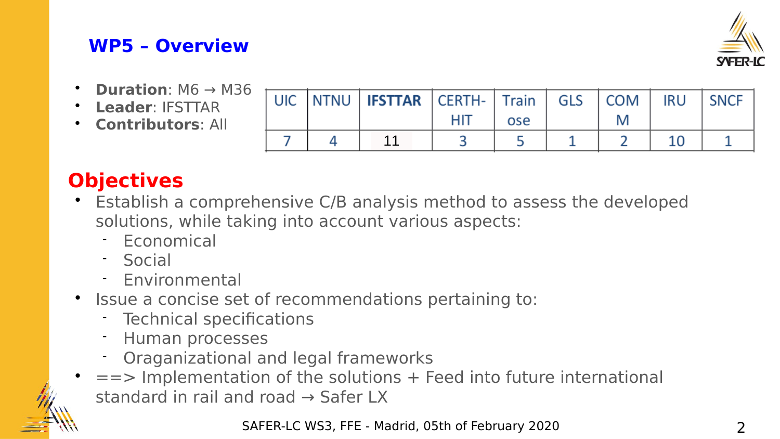#### **WP5 – Overview**



- **Duration**:  $MG \rightarrow M36$
- **Leader**: IFSTTAR
- **Contributors**: All

|  | UIC NTNU   <b>IFSTTAR</b>   CERTH-   Train   GLS   COM |     |     |  | IRU SNCF |
|--|--------------------------------------------------------|-----|-----|--|----------|
|  |                                                        | HIT | ose |  |          |
|  |                                                        |     |     |  |          |

#### **Objectives**

- Establish a comprehensive C/B analysis method to assess the developed solutions, while taking into account various aspects:
	- Economical
	- Social
	- Environmental
- Issue a concise set of recommendations pertaining to:
	- Technical specifications
	- Human processes
	- Oraganizational and legal frameworks
	- $=$  =  $\triangleright$  Implementation of the solutions  $+$  Feed into future international standard in rail and road → Safer LX

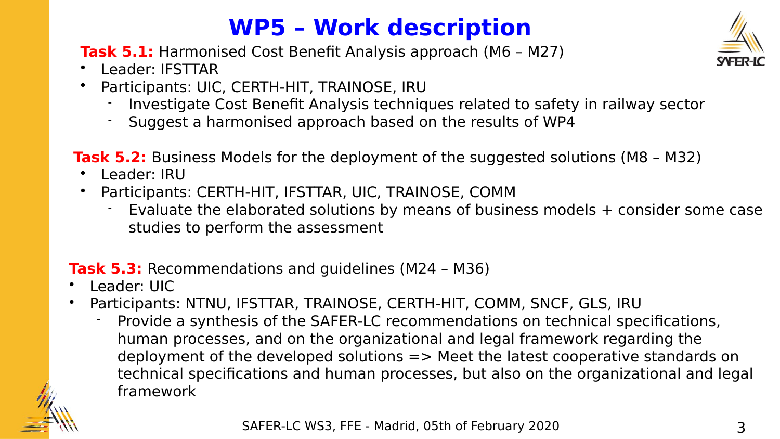#### **WP5 – Work description**

**Task 5.1:** Harmonised Cost Benefit Analysis approach (M6 – M27)

- Leader: IFSTTAR
- Participants: UIC, CERTH-HIT, TRAINOSE, IRU
	- -Investigate Cost Benefit Analysis techniques related to safety in railway sector
	- Suggest a harmonised approach based on the results of WP4

**Task 5.2:** Business Models for the deployment of the suggested solutions (M8 – M32)

- Leader: IRU
- Participants: CERTH-HIT, IFSTTAR, UIC, TRAINOSE, COMM
	- Evaluate the elaborated solutions by means of business models + consider some case studies to perform the assessment

#### **Task 5.3:** Recommendations and guidelines (M24 – M36)

- Leader: UIC
- Participants: NTNU, IFSTTAR, TRAINOSE, CERTH-HIT, COMM, SNCF, GLS, IRU
	- Provide a synthesis of the SAFER-LC recommendations on technical specifications, human processes, and on the organizational and legal framework regarding the deployment of the developed solutions  $\Rightarrow$  Meet the latest cooperative standards on technical specifications and human processes, but also on the organizational and legal framework





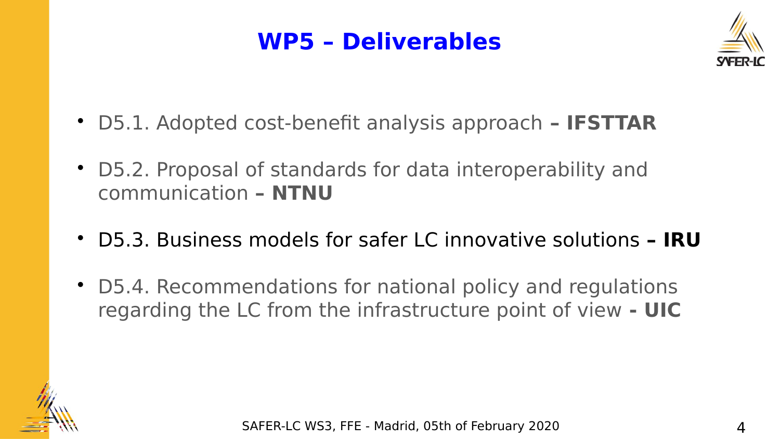#### **WP5 – Deliverables**



- D5.1. Adopted cost-benefit analysis approach **IFSTTAR**
- D5.2. Proposal of standards for data interoperability and communication **– NTNU**
- D5.3. Business models for safer LC innovative solutions  **IRU**
- D5.4. Recommendations for national policy and regulations regarding the LC from the infrastructure point of view **- UIC**

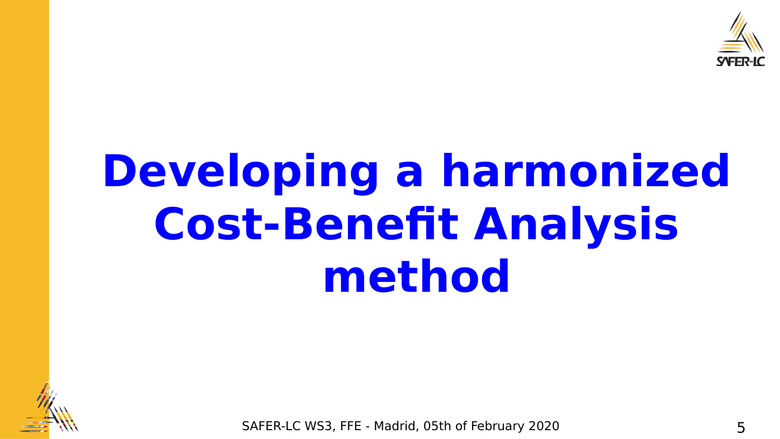

## **Developing a harmonized Cost-Benefit Analysis method**



SAFER-LC WS3, FFE - Madrid, 05th of February 2020 5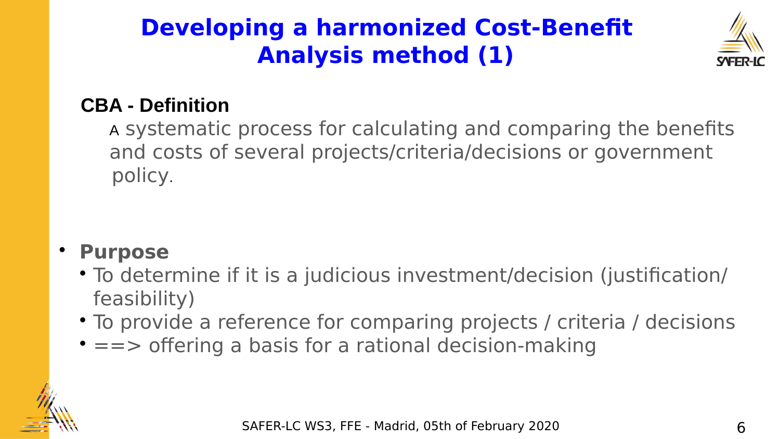#### **Developing a harmonized Cost-Benefit Analysis method (1)**



#### **CBA - Definition**

A systematic process for calculating and comparing the benefits and costs of several projects/criteria/decisions or government policy.

#### **Purpose**

- To determine if it is a judicious investment/decision (justification/ feasibility)
- To provide a reference for comparing projects / criteria / decisions
- $\bullet ==$  offering a basis for a rational decision-making

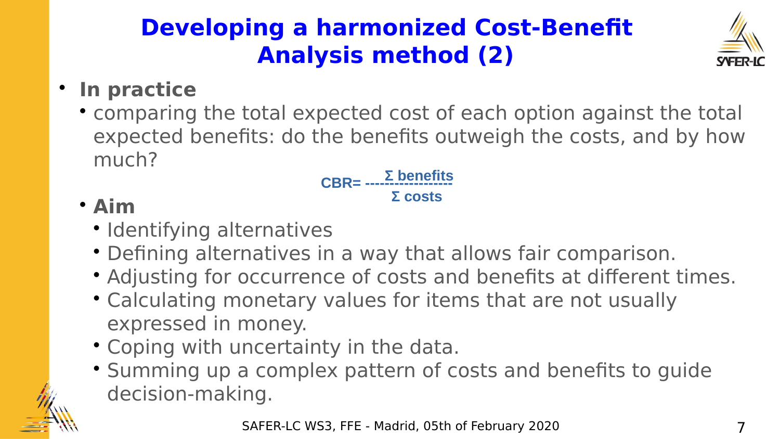## **Developing a harmonized Cost-Benefit Analysis method (2)**



#### **In practice**

 comparing the total expected cost of each option against the total expected benefits: do the benefits outweigh the costs, and by how much?

**Σ benefits Σ costs CBR= ------------------**

#### **Aim**

- Identifying alternatives
- Defining alternatives in a way that allows fair comparison.
- Adjusting for occurrence of costs and benefits at different times.
- Calculating monetary values for items that are not usually expressed in money.
- Coping with uncertainty in the data.
- Summing up a complex pattern of costs and benefits to guide decision-making.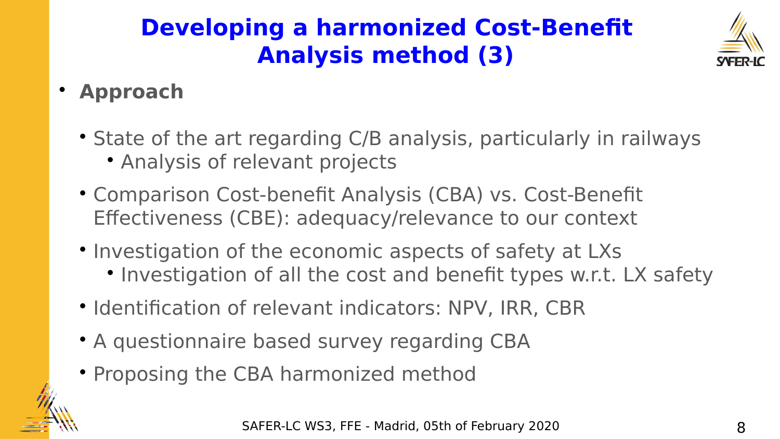## **Developing a harmonized Cost-Benefit Analysis method (3)**



#### **Approach**

- State of the art regarding C/B analysis, particularly in railways Analysis of relevant projects
- Comparison Cost-benefit Analysis (CBA) vs. Cost-Benefit Effectiveness (CBE): adequacy/relevance to our context
- Investigation of the economic aspects of safety at LXs
	- Investigation of all the cost and benefit types w.r.t. LX safety
- Identification of relevant indicators: NPV, IRR, CBR
- A questionnaire based survey regarding CBA
- Proposing the CBA harmonized method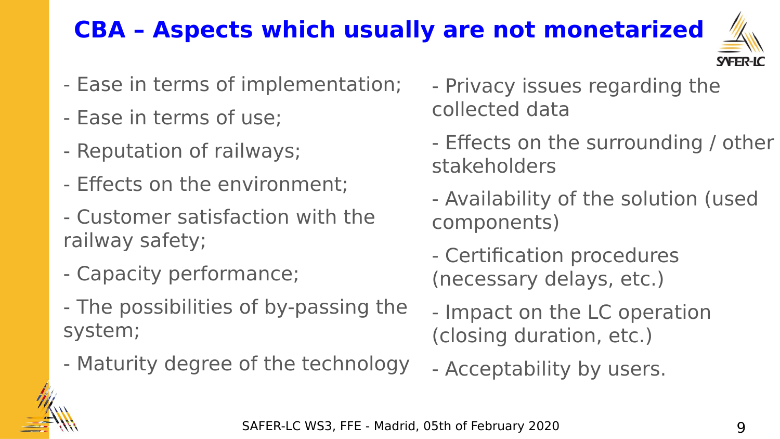## **CBA – Aspects which usually are not monetarized**



- Ease in terms of implementation;
- Ease in terms of use;
- Reputation of railways;
- Effects on the environment;
- Customer satisfaction with the railway safety;
- Capacity performance;
- The possibilities of by-passing the system;
- Maturity degree of the technology
- Privacy issues regarding the collected data
- Effects on the surrounding / other stakeholders
- Availability of the solution (used components)
- Certification procedures (necessary delays, etc.)
- Impact on the LC operation (closing duration, etc.)
- Acceptability by users.

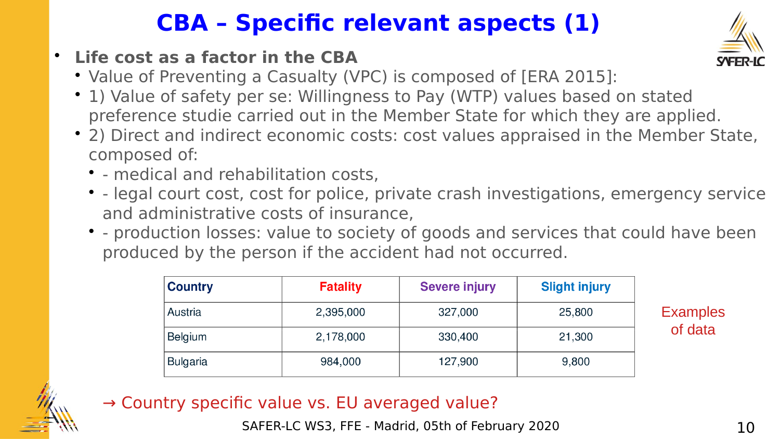#### **CBA – Specific relevant aspects (1)**

- **Life cost as a factor in the CBA** 
	- Value of Preventing a Casualty (VPC) is composed of [ERA 2015]:
	- 1) Value of safety per se: Willingness to Pay (WTP) values based on stated preference studie carried out in the Member State for which they are applied.
	- 2) Direct and indirect economic costs: cost values appraised in the Member State, composed of:
		- - medical and rehabilitation costs,
		- - legal court cost, cost for police, private crash investigations, emergency service and administrative costs of insurance,
		- production losses: value to society of goods and services that could have been produced by the person if the accident had not occurred.

| <b>Country</b>  | <b>Fatality</b> | <b>Severe injury</b> | <b>Slight injury</b> |
|-----------------|-----------------|----------------------|----------------------|
| Austria         | 2,395,000       | 327,000              | 25,800               |
| <b>Belgium</b>  | 2,178,000       | 330,400              | 21,300               |
| <b>Bulgaria</b> | 984,000         | 127,900              | 9,800                |

**Examples** of data



#### → Country specific value vs. EU averaged value?

SAFER-LC WS3, FFE - Madrid, 05th of February 2020 10 10

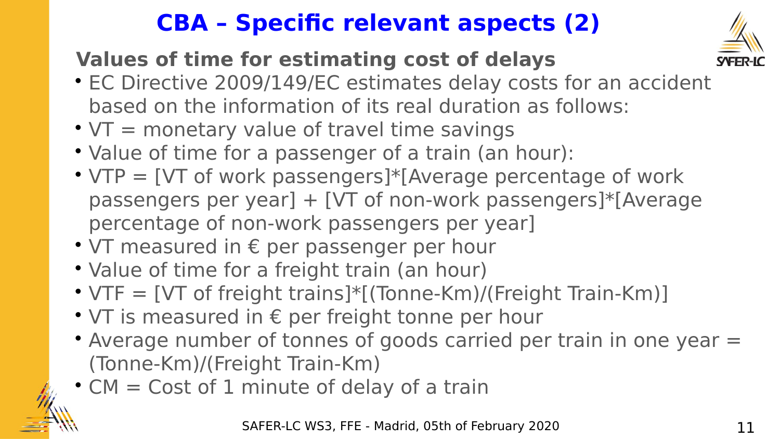#### **CBA – Specific relevant aspects (2)**

#### **Values of time for estimating cost of delays**



- EC Directive 2009/149/EC estimates delay costs for an accident based on the information of its real duration as follows:
- $\cdot$  VT = monetary value of travel time savings
- Value of time for a passenger of a train (an hour):
- $\cdot$  VTP = [VT of work passengers]\*[Average percentage of work passengers per year] + [VT of non-work passengers]\*[Average percentage of non-work passengers per year]
- VT measured in € per passenger per hour
- Value of time for a freight train (an hour)
- VTF = [VT of freight trains]\*[(Tonne-Km)/(Freight Train-Km)]
- VT is measured in € per freight tonne per hour
- Average number of tonnes of goods carried per train in one year = (Tonne-Km)/(Freight Train-Km)
- CM = Cost of 1 minute of delay of a train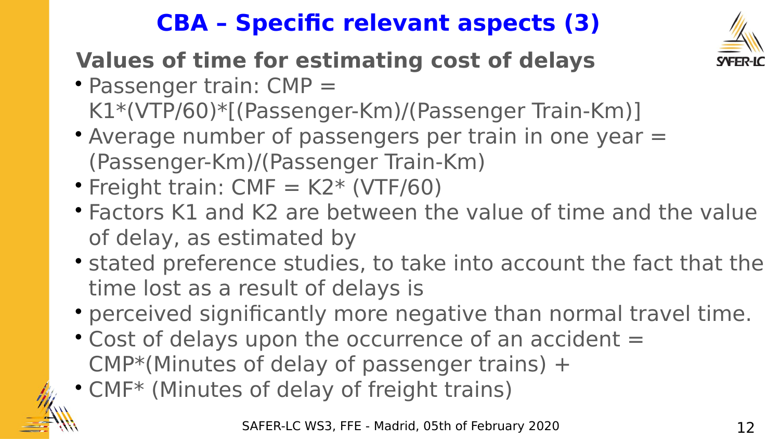### **CBA – Specific relevant aspects (3)**



#### **Values of time for estimating cost of delays**

- Passenger train: CMP = K1\*(VTP/60)\*[(Passenger-Km)/(Passenger Train-Km)]
- Average number of passengers per train in one year = (Passenger-Km)/(Passenger Train-Km)
- Freight train:  $CMF = K2* (VTF/60)$
- Factors K1 and K2 are between the value of time and the value of delay, as estimated by
- stated preference studies, to take into account the fact that the time lost as a result of delays is
- perceived significantly more negative than normal travel time.
- Cost of delays upon the occurrence of an accident = CMP\*(Minutes of delay of passenger trains) +
- CMF\* (Minutes of delay of freight trains)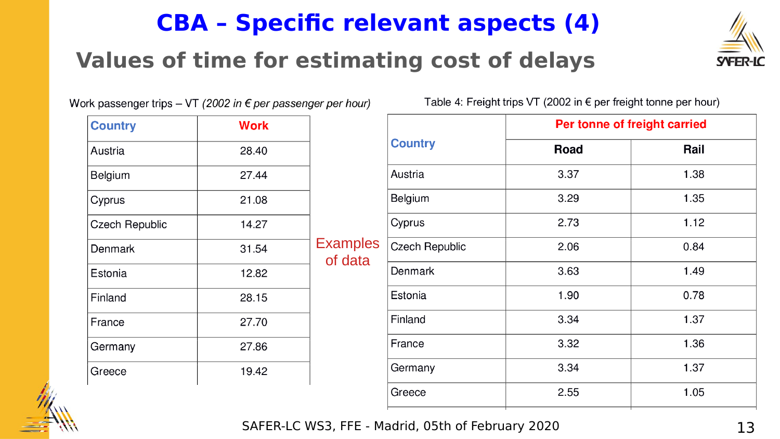#### **CBA – Specific relevant aspects (4)**

#### **Values of time for estimating cost of delays**



Work passenger trips - VT (2002 in  $\epsilon$  per passenger per hour)

| <b>Country</b>        | <b>Work</b> |                            |
|-----------------------|-------------|----------------------------|
| Austria               | 28.40       |                            |
| <b>Belgium</b>        | 27.44       |                            |
| Cyprus                | 21.08       |                            |
| <b>Czech Republic</b> | 14.27       |                            |
| Denmark               | 31.54       | <b>Examples</b><br>of data |
| Estonia               | 12.82       |                            |
| Finland               | 28.15       |                            |
| France                | 27.70       |                            |
| Germany               | 27.86       |                            |
| Greece                | 19.42       |                            |

Table 4: Freight trips VT (2002 in  $\epsilon$  per freight tonne per hour)

|                       | Per tonne of freight carried |      |  |  |
|-----------------------|------------------------------|------|--|--|
| <b>Country</b>        | Road                         | Rail |  |  |
| Austria               | 3.37                         | 1.38 |  |  |
| Belgium               | 3.29                         | 1.35 |  |  |
| Cyprus                | 2.73                         | 1.12 |  |  |
| <b>Czech Republic</b> | 2.06                         | 0.84 |  |  |
| <b>Denmark</b>        | 3.63                         | 1.49 |  |  |
| Estonia               | 1.90                         | 0.78 |  |  |
| Finland               | 3.34                         | 1.37 |  |  |
| France                | 3.32                         | 1.36 |  |  |
| Germany               | 3.34                         | 1.37 |  |  |
| Greece                | 2.55                         | 1.05 |  |  |
|                       |                              |      |  |  |



SAFER-LC WS3, FFE - Madrid, 05th of February 2020 13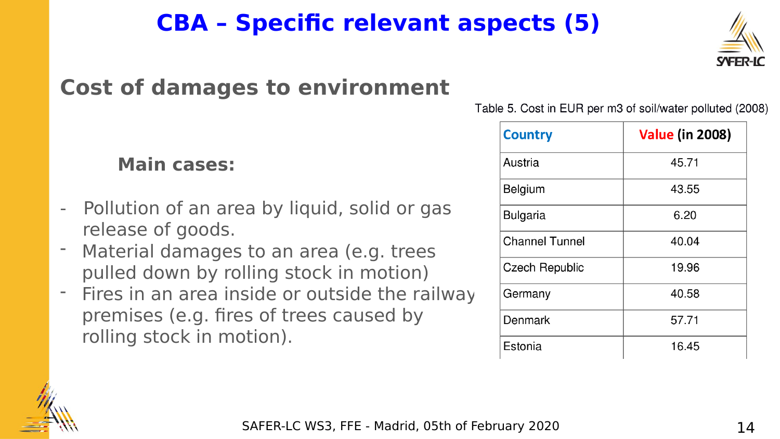#### SAFER-LC WS3, FFE - Madrid, 05th of February 2020 14

#### **CBA – Specific relevant aspects (5)**

#### **Cost of damages to environment**

#### **Main cases:**

- Pollution of an area by liquid, solid or gas release of goods.
- Material damages to an area (e.g. trees pulled down by rolling stock in motion)
- Fires in an area inside or outside the railway premises (e.g. fires of trees caused by rolling stock in motion).

Table 5. Cost in EUR per m3 of soil/water polluted (2008)

| <b>Country</b>        | <b>Value (in 2008)</b> |
|-----------------------|------------------------|
| Austria               | 45.71                  |
| Belgium               | 43.55                  |
| <b>Bulgaria</b>       | 6.20                   |
| <b>Channel Tunnel</b> | 40.04                  |
| <b>Czech Republic</b> | 19.96                  |
| Germany               | 40.58                  |
| Denmark               | 57.71                  |
| Estonia               | 16.45                  |



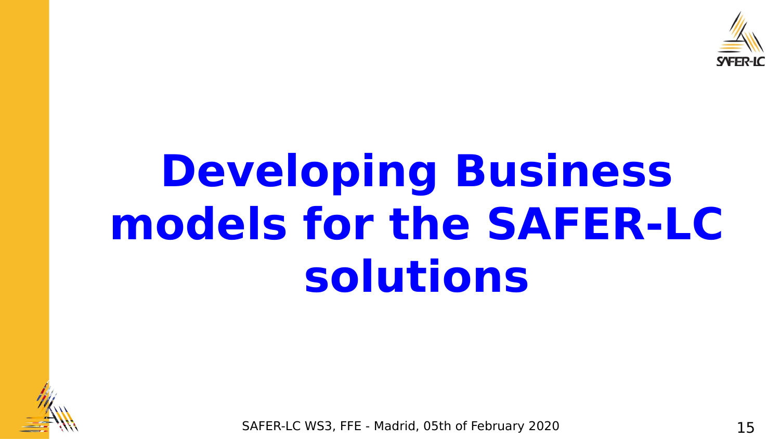

## **Developing Business models for the SAFER-LC solutions**



SAFER-LC WS3, FFE - Madrid, 05th of February 2020 15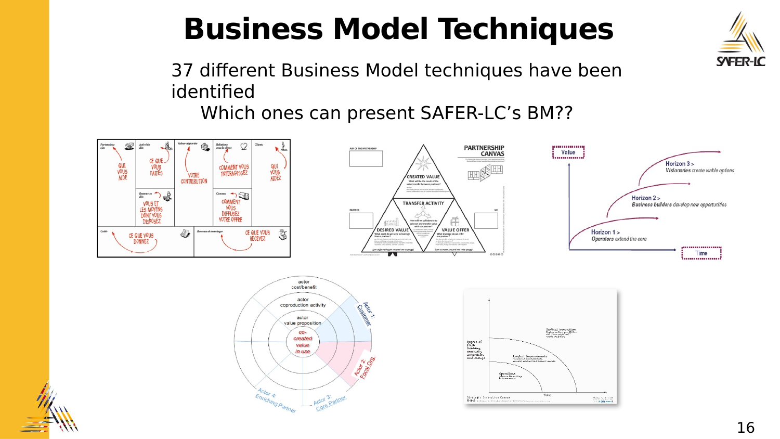## **Business Model Techniques**

37 different Business Model techniques have been identified

Which ones can present SAFER-LC's BM??









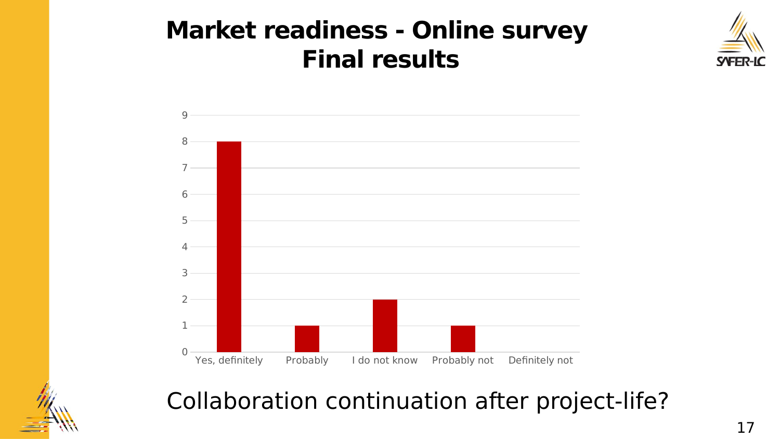



![](_page_16_Picture_3.jpeg)

#### Collaboration continuation after project-life?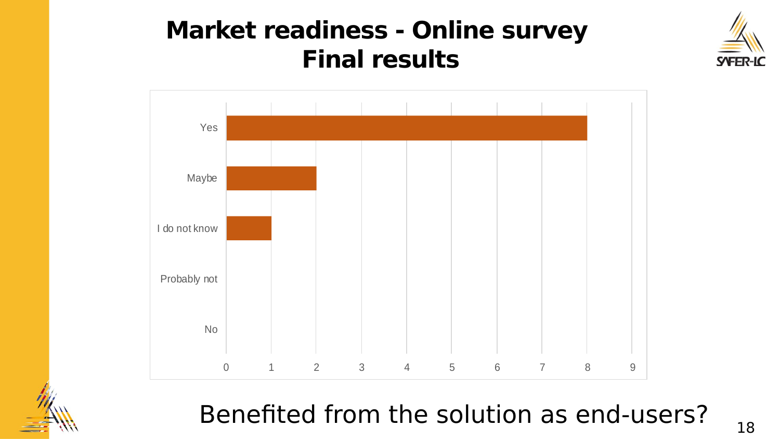![](_page_17_Picture_1.jpeg)

![](_page_17_Figure_2.jpeg)

![](_page_17_Picture_3.jpeg)

Benefited from the solution as end-users?  $_{18}$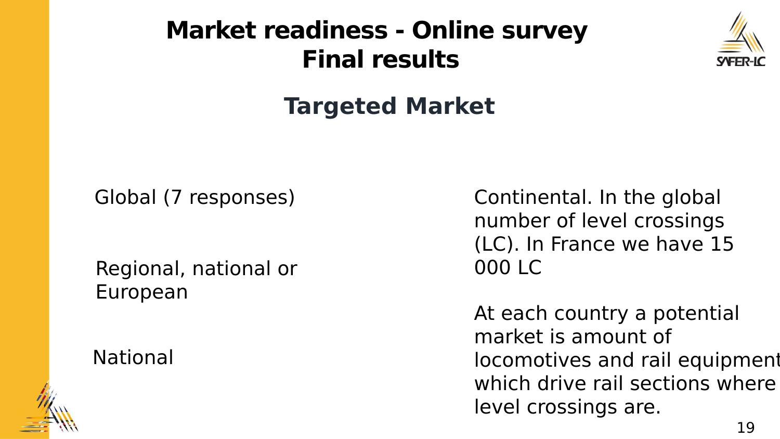![](_page_18_Picture_1.jpeg)

#### **Targeted Market**

Global (7 responses)

Regional, national or European

#### National

![](_page_18_Picture_6.jpeg)

Continental. In the global number of level crossings (LC). In France we have 15 000 LC

At each country a potential market is amount of locomotives and rail equipment which drive rail sections where level crossings are.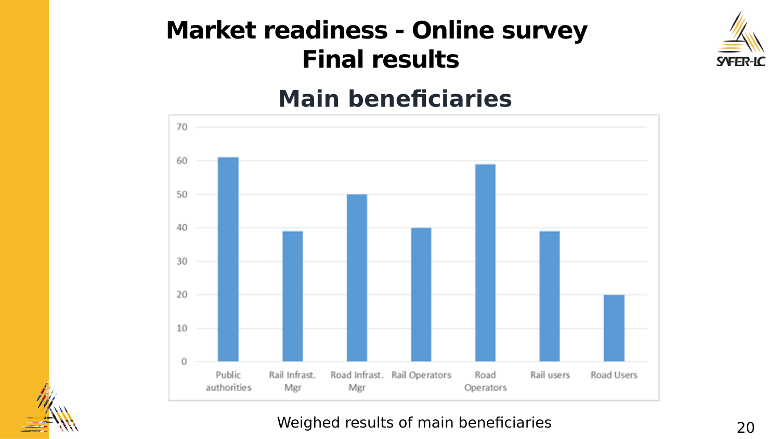![](_page_19_Picture_1.jpeg)

#### **Main beneficiaries**

![](_page_19_Figure_3.jpeg)

#### Weighed results of main beneficiaries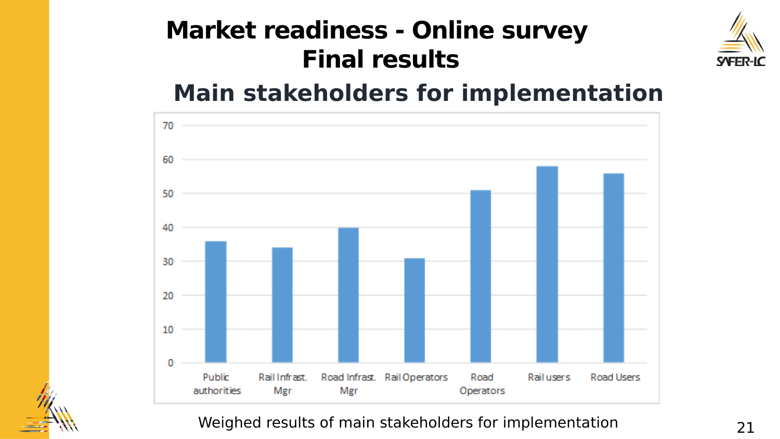![](_page_20_Picture_1.jpeg)

#### **Main stakeholders for implementation**

![](_page_20_Figure_3.jpeg)

#### Weighed results of main stakeholders for implementation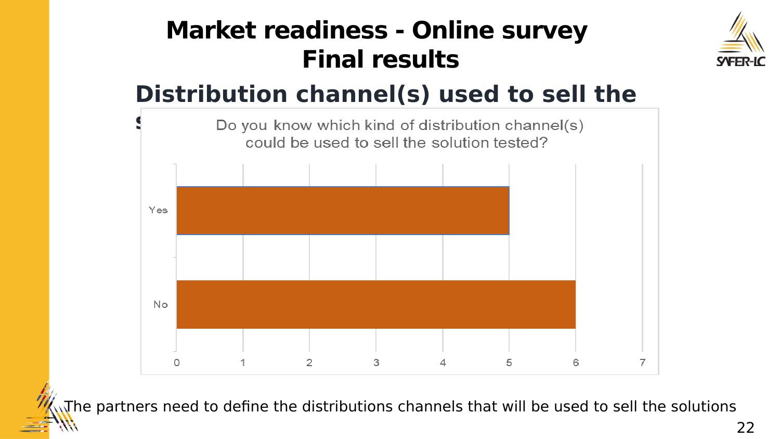![](_page_21_Picture_1.jpeg)

#### **Distribution channel(s) used to sell the**

![](_page_21_Figure_3.jpeg)

The partners need to define the distributions channels that will be used to sell the solutions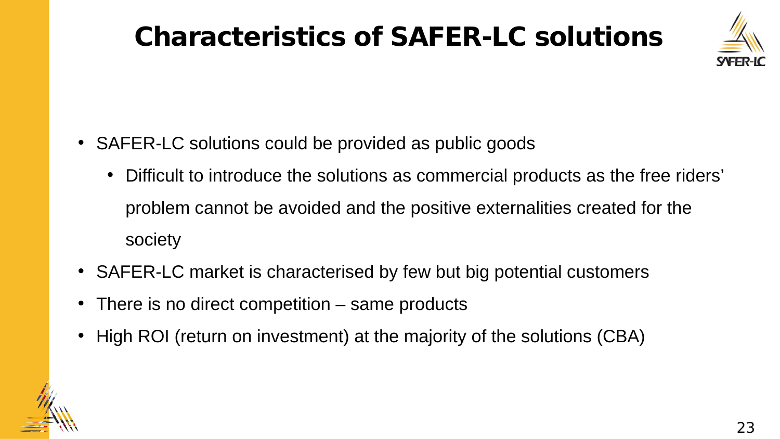## **Characteristics of SAFER-LC solutions**

![](_page_22_Picture_1.jpeg)

- SAFER-LC solutions could be provided as public goods
	- Difficult to introduce the solutions as commercial products as the free riders' problem cannot be avoided and the positive externalities created for the society
- SAFER-LC market is characterised by few but big potential customers
- There is no direct competition same products
- High ROI (return on investment) at the majority of the solutions (CBA)

![](_page_22_Picture_7.jpeg)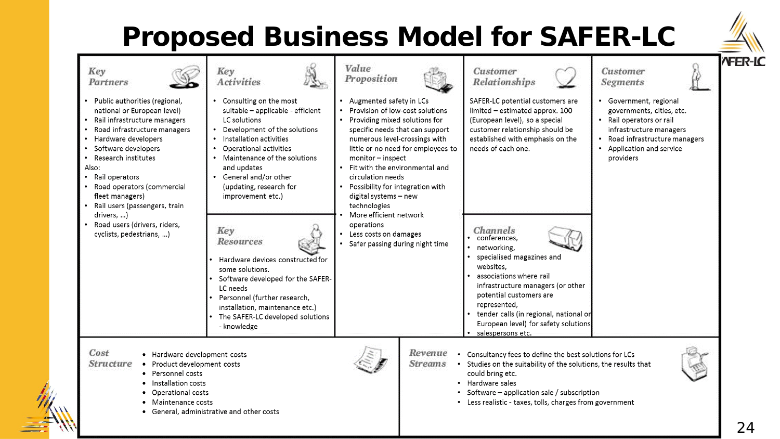## **Proposed Business Model for SAFER-LC**

![](_page_23_Picture_1.jpeg)

![](_page_23_Figure_2.jpeg)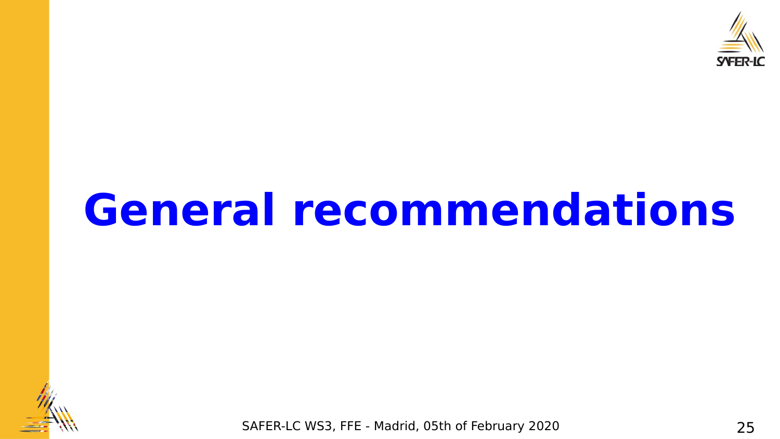![](_page_24_Picture_0.jpeg)

## **General recommendations**

![](_page_24_Picture_2.jpeg)

SAFER-LC WS3, FFE - Madrid, 05th of February 2020 25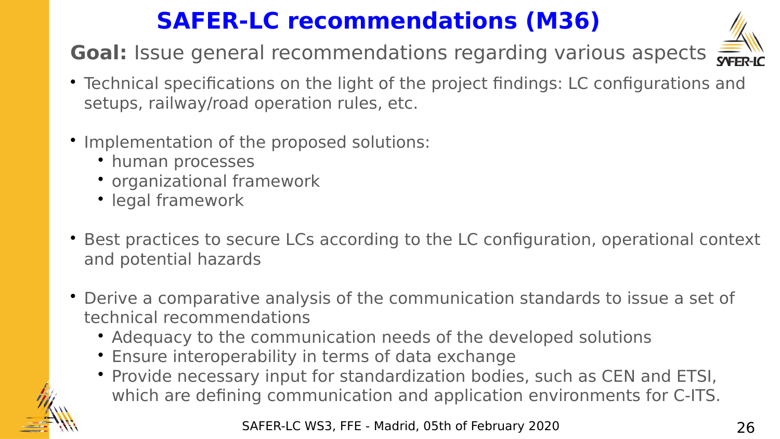### **SAFER-LC recommendations (M36)**

**Goal:** Issue general recommendations regarding various aspects

![](_page_25_Picture_2.jpeg)

- Technical specifications on the light of the project findings: LC configurations and setups, railway/road operation rules, etc.
- Implementation of the proposed solutions:
	- human processes
	- organizational framework
	- legal framework
- Best practices to secure LCs according to the LC configuration, operational context and potential hazards
- Derive a comparative analysis of the communication standards to issue a set of technical recommendations
	- Adequacy to the communication needs of the developed solutions
	- Ensure interoperability in terms of data exchange
	- Provide necessary input for standardization bodies, such as CEN and ETSI, which are defining communication and application environments for C-ITS.

![](_page_25_Picture_13.jpeg)